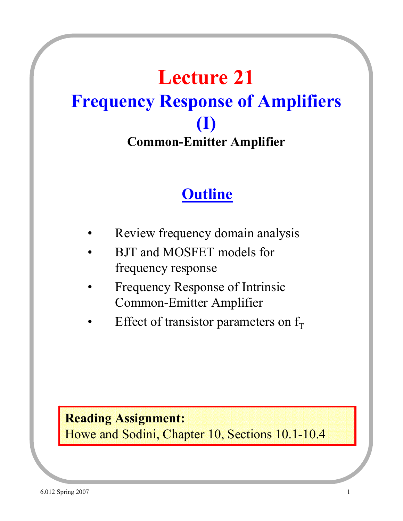# **Lecture 21 Frequency Response of Amplifiers (I) Common-Emitter Amplifier**

### **Outline**

- Review frequency domain analysis
- BJT and MOSFET models for frequency response
- Frequency Response of Intrinsic Common-Emitter Amplifier
- Effect of transistor parameters on  $f<sub>T</sub>$

#### **Reading Assignment:**

Howe and Sodini, Chapter 10, Sections 10.1-10.4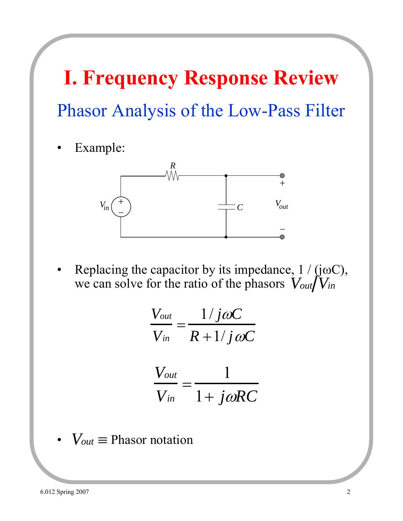# Phasor Analysis of the Low-Pass Filter **I. Frequency Response Review**

• Example:



Replacing the capacitor by its impedance,  $1 / (j\omega C)$ , we can solve for the ratio of the phasors  $V_{out}/V_{in}$ 

$$
\frac{V_{out}}{V_{in}} = \frac{1/j\omega C}{R + 1/j\omega C}
$$

$$
\frac{V_{out}}{V_{in}} = \frac{1}{1 + j\omega RC}
$$

•  $V_{out} \equiv$  Phasor notation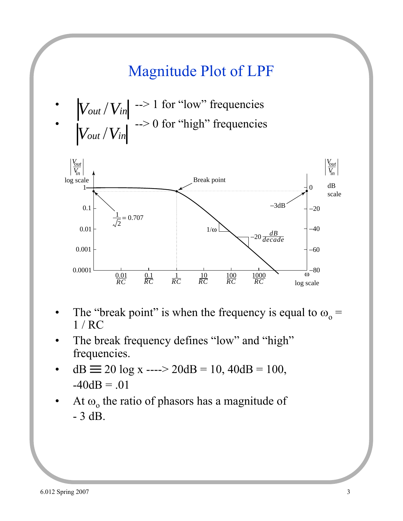### Magnitude Plot of LPF

•  $|V_{\text{out}}/V_{\text{in}}|$  --> 1 for "low" frequencies •  $\frac{1}{2}$   $\frac{1}{2}$   $\rightarrow$  0 for "high" frequencies *Vout* /*Vin Vout* /*Vin*



- The "break point" is when the frequency is equal to  $\omega_0 =$ 1 / RC
- The break frequency defines "low" and "high" frequencies.
- dB  $\equiv$  20 log x ----> 20dB = 10, 40dB = 100,  $-40dB = .01$
- At  $\omega_0$  the ratio of phasors has a magnitude of - 3 dB.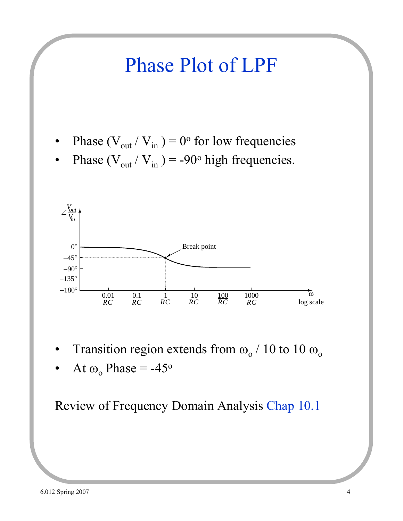# Phase Plot of LPF

- Phase ( $V_{\text{out}}/V_{\text{in}}$ ) = 0° for low frequencies
- Phase ( $V_{\text{out}}/V_{\text{in}}$ ) = -90° high frequencies.



- Transition region extends from  $\omega_0/10$  to  $10 \omega_0$
- At  $ω_0$  Phase = -45<sup>o</sup>

Review of Frequency Domain Analysis Chap 10.1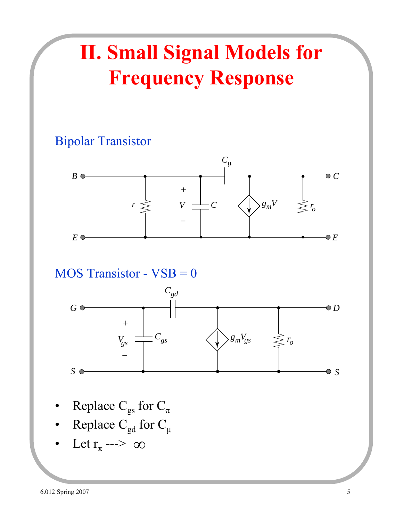# **II. Small Signal Models for Frequency Response**

#### Bipolar Transistor



#### MOS Transistor - VSB = 0



- Replace  $C_{gs}$  for  $C_{\pi}$
- Replace  $C_{gd}$  for  $C_{\mu}$
- Let  $r_{\pi}$  --->  $\infty$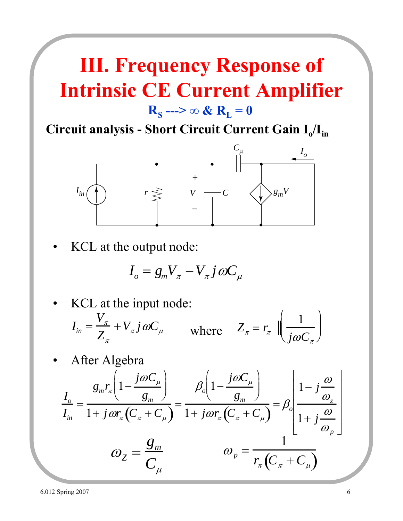## **III. Frequency Response of Intrinsic CE Current Amplifier**  $R_s$  --->  $\infty$  &  $R_t = 0$

Circuit analysis - Short Circuit Current Gain I<sub>o</sub>/I<sub>in</sub>



KCL at the output node:

$$
I_o = g_m V_{\pi} - V_{\pi} j \omega C_{\mu}
$$

KCL at the input node: • After Algebra  $I_{in} =$  $V_{\pi}$  $\overline{Z}_\pi$  $+V_{\pi} j \omega C_{\mu}$  where  $Z_{\pi} = r_{\pi}$ 1  $j\omega C$ <sub>π</sub>  $\int$  $\setminus$  $\vert \cdot$  $\mathcal{L}$  $\int$  $\vert$ *Io Iin* =  $g_{m}r_{\pi}\left(1-\frac{j\omega C_{\mu}}{2}\right)$ *gm*  $\overline{\phantom{a}}$  $\left( \begin{matrix} 1 \end{matrix} \right)$  $\overline{\phantom{a}}$  $\int$  $\overline{1+j\omega r_{\pi}\left(C_{\pi}+C_{\mu}\right)}$ =  $\beta_o \Bigg[ 1 - \frac{j\omega C_\mu}{\sigma}$ *gm*  $\sqrt{2}$  $\left( \begin{matrix} 1 \end{matrix} \right)$  $\overline{\phantom{a}}$  $\int$  $\overline{1+j\omega r_{\pi}\left(C_{\pi}+C_{\mu}\right)}$  $=\beta$ <sub>o</sub>  $1-j\frac{\omega}{\omega}$  $\omega_z^{}$  $1+j\frac{\omega}{\omega}$  $\omega_{_{p}}$  $\mathsf{L}$ ⎣ ⎢ ⎢ ⎢ ⎢ ⎢  $\overline{\phantom{a}}$ ⎦  $\begin{array}{c|c|c|c} \hline \multicolumn{1}{c|}{\textbf{1}} & \multicolumn{1}{c|}{\textbf{2}} \\ \multicolumn{1}{c|}{\textbf{3}} & \multicolumn{1}{c|}{\textbf{4}} \\ \multicolumn{1}{c|}{\textbf{5}} & \multicolumn{1}{c|}{\textbf{6}} \\ \multicolumn{1}{c|}{\textbf{6}} & \multicolumn{1}{c|}{\textbf{7}} \\ \multicolumn{1}{c|}{\textbf{7}} & \multicolumn{1}{c|}{\textbf{8}} \\ \multicolumn{1}{c|}{\textbf{9}} & \multicolumn{1}{c|}{\textbf{1}} \\$  $\omega_z =$ *gm*  $C_\mu$  $\omega_p^+$ 1  $\overline{r_{\pi}\left( C_{\pi}+C_{\mu}\right) }$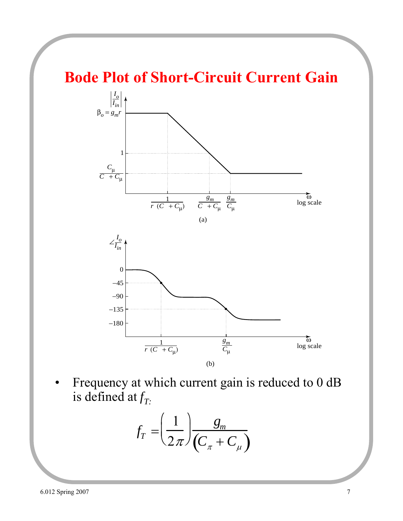### **Bode Plot of Short-Circuit Current Gain**



• Frequency at which current gain is reduced to 0 dB is defined at  $f_T$ .

$$
f_T = \left(\frac{1}{2\pi}\right) \frac{g_m}{\left(C_{\pi} + C_{\mu}\right)}
$$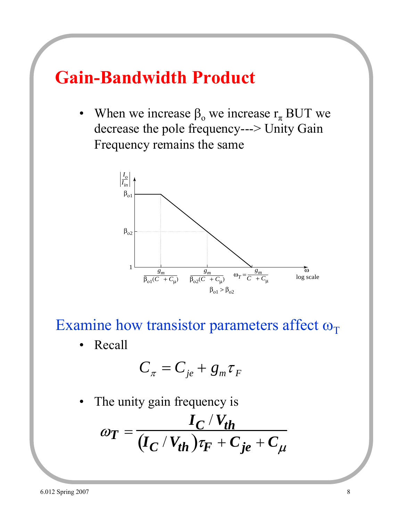### **Gain-Bandwidth Product**

When we increase  $\beta_0$  we increase  $r_\pi$  BUT we decrease the pole frequency---> Unity Gain Frequency remains the same



Examine how transistor parameters affect  $\omega_T$ 

• Recall

$$
C_{\pi} = C_{je} + g_{m} \tau_{F}
$$

The unity gain frequency is

$$
\omega_T = \frac{I_C/V_{th}}{(I_C/V_{th})\tau_F + C_{je} + C_{\mu}}
$$